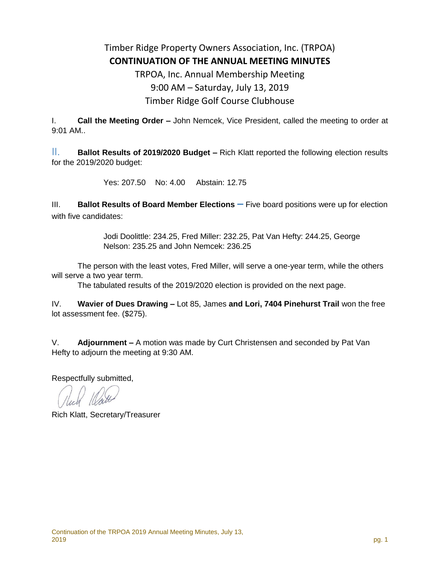## Timber Ridge Property Owners Association, Inc. (TRPOA) **CONTINUATION OF THE ANNUAL MEETING MINUTES**

## TRPOA, Inc. Annual Membership Meeting 9:00 AM – Saturday, July 13, 2019 Timber Ridge Golf Course Clubhouse

I. **Call the Meeting Order –** John Nemcek, Vice President, called the meeting to order at 9:01 AM..

II. **Ballot Results of 2019/2020 Budget –** Rich Klatt reported the following election results for the 2019/2020 budget:

Yes: 207.50 No: 4.00 Abstain: 12.75

III. **Ballot Results of Board Member Elections** – Five board positions were up for election with five candidates:

> Jodi Doolittle: 234.25, Fred Miller: 232.25, Pat Van Hefty: 244.25, George Nelson: 235.25 and John Nemcek: 236.25

The person with the least votes, Fred Miller, will serve a one-year term, while the others will serve a two year term.

The tabulated results of the 2019/2020 election is provided on the next page.

IV. **Wavier of Dues Drawing –** Lot 85, James **and Lori, 7404 Pinehurst Trail** won the free lot assessment fee. (\$275).

V. **Adjournment –** A motion was made by Curt Christensen and seconded by Pat Van Hefty to adjourn the meeting at 9:30 AM.

Respectfully submitted,

Rich Klatt, Secretary/Treasurer